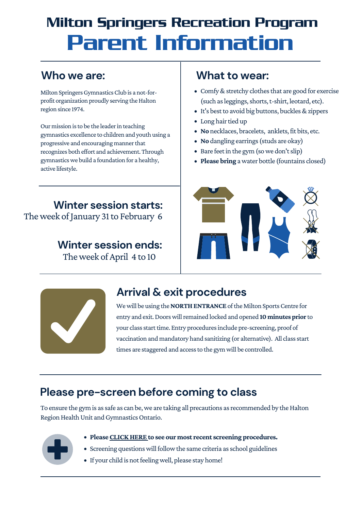Milton Springers Gymnastics Club is a not-forprofit organization proudly serving the Halton region since 1974.

Our mission is to be the leader in teaching gymnastics excellence to children and youth using a progressive and encouraging manner that recognizes both effort and achievement. Through gymnasticswe build a foundation for a healthy, active lifestyle.

- Comfy & stretchy clothes that are good for exercise (such as leggings, shorts, t-shirt, leotard, etc).
- It's best to avoid big buttons, buckles & zippers
- Long hair tied up
- No necklaces, bracelets, anklets, fit bits, etc.
- **No** dangling earrings(studs are okay)
- Bare feet in the gym (so we don't slip)
- **Please bring** awater bottle (fountains closed)





The week of January 31 to February 6 **Winter session starts:**

# Milton Springers Recreation Program Parent Information

#### **Who we are: What to wear:**

### **Please pre-screen before coming to class**

To ensure the gym is as safe as can be, we are taking all precautions as recommended by the Halton Region Health Unit and Gymnastics Ontario.

- 
- **Please[CLICKHERE](https://www.miltonspringers.ca/pages/COVID-19-Response/) to see our most recent screening procedures.**
- Screening questions will follow the same criteria as school guidelines
- If your child is not feeling well, please stay home!

#### **Winter session ends:**

The week of April 4 to 10

## **Arrival & exit procedures**

We will be using the **NORTH ENTRANCE** of the Milton Sports Centre for entry and exit. Doors will remained locked and opened 10 minutes prior to your class start time. Entry procedures include pre-screening, proof of vaccination and mandatory hand sanitizing (or alternative). All class start times are staggered and access to the gym will be controlled.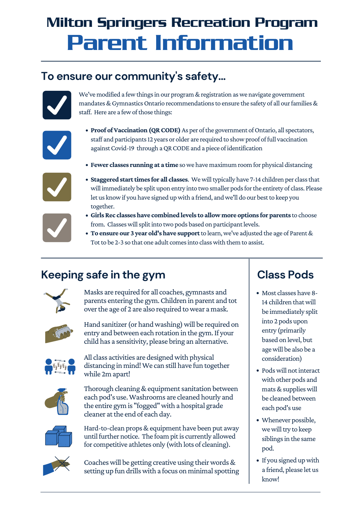- **Proof of Vaccination (QR CODE)** As per of the government of Ontario, all spectators, staff and participants 12 years or older are required to show proof of full vaccination against Covid-19 through a QR CODE and a piece of identification
- **Fewer classes running at a time** sowe have maximum room for physical distancing



**• Staggered start times for all classes**. We will typically have 7-14 children per class that will immediately be split upon entry into two smaller pods for the entirety of class. Please let us know if you have signed up with a friend, and we'll do our best to keep you together.

- **GirlsRec classeshave combined levels to allow more options for parents** to choose from. Classes will split into two pods based on participant levels.
- **To ensure our 3 year old'shave support**to learn,we've adjusted the age of Parent& Tot to be 2-3 so that one adult comes into class with them to assist.





Masks are required for all coaches, gymnasts and parents entering the gym.Children in parent and tot over the age of 2 are also required to wear a mask.



Hand sanitizer (or hand washing) will be required on entry and between each rotation in the gym.If your child has a sensitivity, please bring an alternative.



All class activities are designed with physical distancing in mind!We can still have fun together while 2m apart!



Thorough cleaning & equipment sanitation between each pod's use.Washrooms are cleaned hourly and the entire gym is "fogged" with a hospital grade cleaner at the end of each day.



- Most classes have 8- 14 children that will be immediately split into 2 pods upon entry (primarily based on level, but agewill be also be a consideration)
- Pods will not interact with other pods and mats&supplieswill be cleaned between each pod's use
- Whenever possible, we will try to keep siblings in the same pod.
- If you signed up with a friend, please let us know!

# Milton Springers Recreation Program Parent Information

#### **To ensure our community 's safety...**



We've modified a few things in our program & registration as we navigate government mandates & Gymnastics Ontario recommendations to ensure the safety of all our families  $\&$ staff. Here are a few of those things:



#### **Class Pods**

#### **Keeping safe in the gym**



Hard-to-clean props&equipment have been put away until further notice. The foam pit is currently allowed for competitive athletes only (with lots of cleaning).



Coaches will be getting creative using their words & setting up fun drills with a focus on minimal spotting